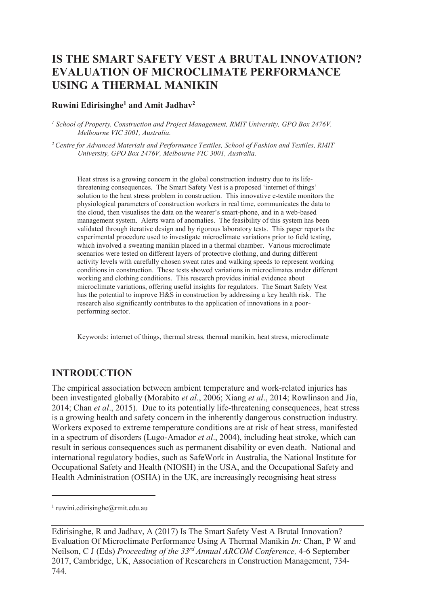# **IS THE SMART SAFETY VEST A BRUTAL INNOVATION? EVALUATION OF MICROCLIMATE PERFORMANCE USING A THERMAL MANIKIN**

#### **Ruwini Edirisinghe<sup>1</sup> and Amit Jadhav<sup>2</sup>**

<sup>1</sup> School of Property, Construction and Project Management, RMIT University, GPO Box 2476V, *Melbourne VIC 3001, Australia.* 

*<sup>2</sup>Centre for Advanced Materials and Performance Textiles, School of Fashion and Textiles, RMIT University, GPO Box 2476V, Melbourne VIC 3001, Australia.* 

Heat stress is a growing concern in the global construction industry due to its lifethreatening consequences. The Smart Safety Vest is a proposed 'internet of things' solution to the heat stress problem in construction. This innovative e-textile monitors the physiological parameters of construction workers in real time, communicates the data to the cloud, then visualises the data on the wearer's smart-phone, and in a web-based management system. Alerts warn of anomalies. The feasibility of this system has been validated through iterative design and by rigorous laboratory tests. This paper reports the experimental procedure used to investigate microclimate variations prior to field testing, which involved a sweating manikin placed in a thermal chamber. Various microclimate scenarios were tested on different layers of protective clothing, and during different activity levels with carefully chosen sweat rates and walking speeds to represent working conditions in construction. These tests showed variations in microclimates under different working and clothing conditions. This research provides initial evidence about microclimate variations, offering useful insights for regulators. The Smart Safety Vest has the potential to improve H&S in construction by addressing a key health risk. The research also significantly contributes to the application of innovations in a poorperforming sector.

Keywords: internet of things, thermal stress, thermal manikin, heat stress, microclimate

## **INTRODUCTION**

The empirical association between ambient temperature and work-related injuries has been investigated globally (Morabito *et al*., 2006; Xiang *et al*., 2014; Rowlinson and Jia, 2014; Chan *et al*., 2015). Due to its potentially life-threatening consequences, heat stress is a growing health and safety concern in the inherently dangerous construction industry. Workers exposed to extreme temperature conditions are at risk of heat stress, manifested in a spectrum of disorders (Lugo-Amador *et al*., 2004), including heat stroke, which can result in serious consequences such as permanent disability or even death. National and international regulatory bodies, such as SafeWork in Australia, the National Institute for Occupational Safety and Health (NIOSH) in the USA, and the Occupational Safety and Health Administration (OSHA) in the UK, are increasingly recognising heat stress

 $\overline{a}$ 

<sup>1</sup> ruwini.edirisinghe@rmit.edu.au

Edirisinghe, R and Jadhav, A (2017) Is The Smart Safety Vest A Brutal Innovation? Evaluation Of Microclimate Performance Using A Thermal Manikin *In:* Chan, P W and Neilson, C J (Eds) *Proceeding of the 33rd Annual ARCOM Conference,* 4-6 September 2017, Cambridge, UK, Association of Researchers in Construction Management, 734- 744.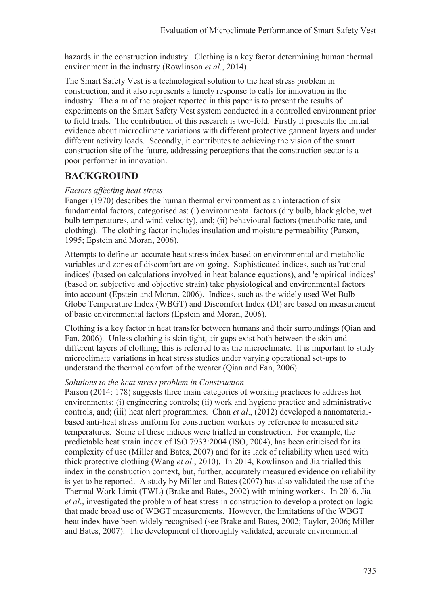hazards in the construction industry. Clothing is a key factor determining human thermal environment in the industry (Rowlinson *et al*., 2014).

The Smart Safety Vest is a technological solution to the heat stress problem in construction, and it also represents a timely response to calls for innovation in the industry. The aim of the project reported in this paper is to present the results of experiments on the Smart Safety Vest system conducted in a controlled environment prior to field trials. The contribution of this research is two-fold. Firstly it presents the initial evidence about microclimate variations with different protective garment layers and under different activity loads. Secondly, it contributes to achieving the vision of the smart construction site of the future, addressing perceptions that the construction sector is a poor performer in innovation.

## **BACKGROUND**

### *Factors affecting heat stress*

Fanger (1970) describes the human thermal environment as an interaction of six fundamental factors, categorised as: (i) environmental factors (dry bulb, black globe, wet bulb temperatures, and wind velocity), and; (ii) behavioural factors (metabolic rate, and clothing). The clothing factor includes insulation and moisture permeability (Parson, 1995; Epstein and Moran, 2006).

Attempts to define an accurate heat stress index based on environmental and metabolic variables and zones of discomfort are on-going. Sophisticated indices, such as 'rational indices' (based on calculations involved in heat balance equations), and 'empirical indices' (based on subjective and objective strain) take physiological and environmental factors into account (Epstein and Moran, 2006). Indices, such as the widely used Wet Bulb Globe Temperature Index (WBGT) and Discomfort Index (DI) are based on measurement of basic environmental factors (Epstein and Moran, 2006).

Clothing is a key factor in heat transfer between humans and their surroundings (Qian and Fan, 2006). Unless clothing is skin tight, air gaps exist both between the skin and different layers of clothing; this is referred to as the microclimate. It is important to study microclimate variations in heat stress studies under varying operational set-ups to understand the thermal comfort of the wearer (Qian and Fan, 2006).

#### *Solutions to the heat stress problem in Construction*

Parson (2014: 178) suggests three main categories of working practices to address hot environments: (i) engineering controls; (ii) work and hygiene practice and administrative controls, and; (iii) heat alert programmes. Chan *et al*., (2012) developed a nanomaterialbased anti-heat stress uniform for construction workers by reference to measured site temperatures. Some of these indices were trialled in construction. For example, the predictable heat strain index of ISO 7933:2004 (ISO, 2004), has been criticised for its complexity of use (Miller and Bates, 2007) and for its lack of reliability when used with thick protective clothing (Wang *et al*., 2010). In 2014, Rowlinson and Jia trialled this index in the construction context, but, further, accurately measured evidence on reliability is yet to be reported. A study by Miller and Bates (2007) has also validated the use of the Thermal Work Limit (TWL) (Brake and Bates, 2002) with mining workers. In 2016, Jia *et al*., investigated the problem of heat stress in construction to develop a protection logic that made broad use of WBGT measurements. However, the limitations of the WBGT heat index have been widely recognised (see Brake and Bates, 2002; Taylor, 2006; Miller and Bates, 2007). The development of thoroughly validated, accurate environmental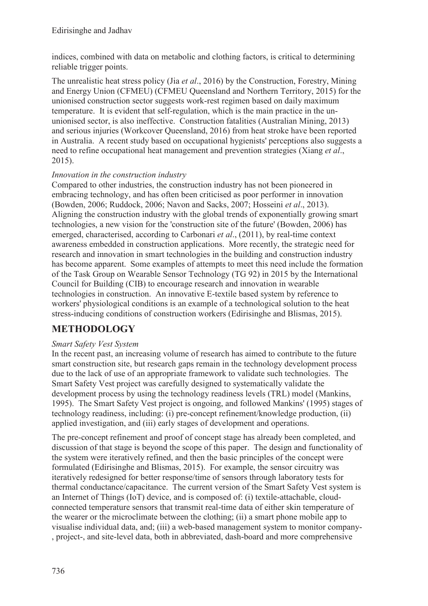indices, combined with data on metabolic and clothing factors, is critical to determining reliable trigger points.

The unrealistic heat stress policy (Jia *et al*., 2016) by the Construction, Forestry, Mining and Energy Union (CFMEU) (CFMEU Queensland and Northern Territory, 2015) for the unionised construction sector suggests work-rest regimen based on daily maximum temperature. It is evident that self-regulation, which is the main practice in the ununionised sector, is also ineffective. Construction fatalities (Australian Mining, 2013) and serious injuries (Workcover Queensland, 2016) from heat stroke have been reported in Australia. A recent study based on occupational hygienists' perceptions also suggests a need to refine occupational heat management and prevention strategies (Xiang *et al*., 2015).

## *Innovation in the construction industry*

Compared to other industries, the construction industry has not been pioneered in embracing technology, and has often been criticised as poor performer in innovation (Bowden, 2006; Ruddock, 2006; Navon and Sacks, 2007; Hosseini *et al*., 2013). Aligning the construction industry with the global trends of exponentially growing smart technologies, a new vision for the 'construction site of the future' (Bowden, 2006) has emerged, characterised, according to Carbonari *et al*., (2011), by real-time context awareness embedded in construction applications. More recently, the strategic need for research and innovation in smart technologies in the building and construction industry has become apparent. Some examples of attempts to meet this need include the formation of the Task Group on Wearable Sensor Technology (TG 92) in 2015 by the International Council for Building (CIB) to encourage research and innovation in wearable technologies in construction. An innovative E-textile based system by reference to workers' physiological conditions is an example of a technological solution to the heat stress-inducing conditions of construction workers (Edirisinghe and Blismas, 2015).

# **METHODOLOGY**

## *Smart Safety Vest System*

In the recent past, an increasing volume of research has aimed to contribute to the future smart construction site, but research gaps remain in the technology development process due to the lack of use of an appropriate framework to validate such technologies. The Smart Safety Vest project was carefully designed to systematically validate the development process by using the technology readiness levels (TRL) model (Mankins, 1995). The Smart Safety Vest project is ongoing, and followed Mankins' (1995) stages of technology readiness, including: (i) pre-concept refinement/knowledge production, (ii) applied investigation, and (iii) early stages of development and operations.

The pre-concept refinement and proof of concept stage has already been completed, and discussion of that stage is beyond the scope of this paper. The design and functionality of the system were iteratively refined, and then the basic principles of the concept were formulated (Edirisinghe and Blismas, 2015). For example, the sensor circuitry was iteratively redesigned for better response/time of sensors through laboratory tests for thermal conductance/capacitance. The current version of the Smart Safety Vest system is an Internet of Things (IoT) device, and is composed of: (i) textile-attachable, cloudconnected temperature sensors that transmit real-time data of either skin temperature of the wearer or the microclimate between the clothing; (ii) a smart phone mobile app to visualise individual data, and; (iii) a web-based management system to monitor company- , project-, and site-level data, both in abbreviated, dash-board and more comprehensive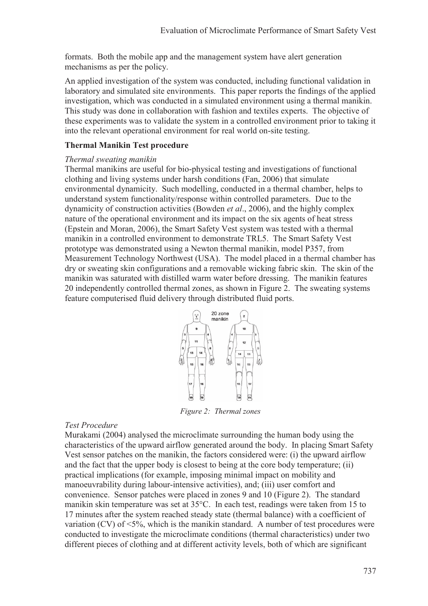formats. Both the mobile app and the management system have alert generation mechanisms as per the policy.

An applied investigation of the system was conducted, including functional validation in laboratory and simulated site environments. This paper reports the findings of the applied investigation, which was conducted in a simulated environment using a thermal manikin. This study was done in collaboration with fashion and textiles experts. The objective of these experiments was to validate the system in a controlled environment prior to taking it into the relevant operational environment for real world on-site testing.

#### **Thermal Manikin Test procedure**

#### *Thermal sweating manikin*

Thermal manikins are useful for bio-physical testing and investigations of functional clothing and living systems under harsh conditions (Fan, 2006) that simulate environmental dynamicity. Such modelling, conducted in a thermal chamber, helps to understand system functionality/response within controlled parameters. Due to the dynamicity of construction activities (Bowden *et al*., 2006), and the highly complex nature of the operational environment and its impact on the six agents of heat stress (Epstein and Moran, 2006), the Smart Safety Vest system was tested with a thermal manikin in a controlled environment to demonstrate TRL5. The Smart Safety Vest prototype was demonstrated using a Newton thermal manikin, model P357, from Measurement Technology Northwest (USA). The model placed in a thermal chamber has dry or sweating skin configurations and a removable wicking fabric skin. The skin of the manikin was saturated with distilled warm water before dressing. The manikin features 20 independently controlled thermal zones, as shown in Figure 2. The sweating systems feature computerised fluid delivery through distributed fluid ports.



*Figure 2: Thermal zones* 

#### *Test Procedure*

Murakami (2004) analysed the microclimate surrounding the human body using the characteristics of the upward airflow generated around the body. In placing Smart Safety Vest sensor patches on the manikin, the factors considered were: (i) the upward airflow and the fact that the upper body is closest to being at the core body temperature; (ii) practical implications (for example, imposing minimal impact on mobility and manoeuvrability during labour-intensive activities), and; (iii) user comfort and convenience. Sensor patches were placed in zones 9 and 10 (Figure 2). The standard manikin skin temperature was set at 35°C. In each test, readings were taken from 15 to 17 minutes after the system reached steady state (thermal balance) with a coefficient of variation  $(CV)$  of  $\leq 5\%$ , which is the manikin standard. A number of test procedures were conducted to investigate the microclimate conditions (thermal characteristics) under two different pieces of clothing and at different activity levels, both of which are significant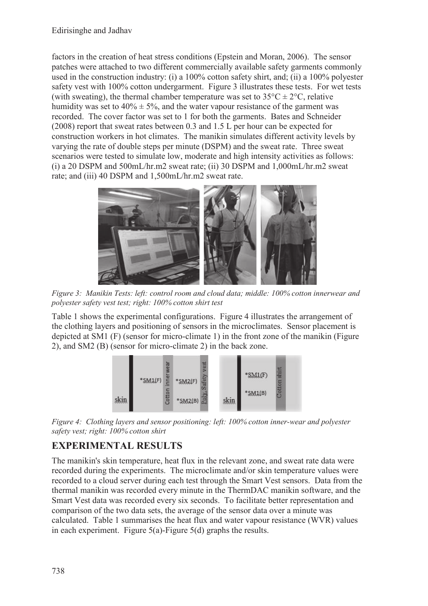factors in the creation of heat stress conditions (Epstein and Moran, 2006). The sensor patches were attached to two different commercially available safety garments commonly used in the construction industry: (i) a 100% cotton safety shirt, and; (ii) a 100% polyester safety vest with 100% cotton undergarment. Figure 3 illustrates these tests. For wet tests (with sweating), the thermal chamber temperature was set to  $35^{\circ}C \pm 2^{\circ}C$ , relative humidity was set to  $40\% \pm 5\%$ , and the water vapour resistance of the garment was recorded. The cover factor was set to 1 for both the garments. Bates and Schneider (2008) report that sweat rates between 0.3 and 1.5 L per hour can be expected for construction workers in hot climates. The manikin simulates different activity levels by varying the rate of double steps per minute (DSPM) and the sweat rate. Three sweat scenarios were tested to simulate low, moderate and high intensity activities as follows: (i) a 20 DSPM and 500mL/hr.m2 sweat rate; (ii) 30 DSPM and 1,000mL/hr.m2 sweat rate; and (iii) 40 DSPM and 1,500mL/hr.m2 sweat rate.



*Figure 3: Manikin Tests: left: control room and cloud data; middle: 100% cotton innerwear and polyester safety vest test; right: 100% cotton shirt test* 

Table 1 shows the experimental configurations. Figure 4 illustrates the arrangement of the clothing layers and positioning of sensors in the microclimates. Sensor placement is depicted at SM1 (F) (sensor for micro-climate 1) in the front zone of the manikin (Figure 2), and SM2 (B) (sensor for micro-climate 2) in the back zone.



*Figure 4: Clothing layers and sensor positioning: left: 100% cotton inner-wear and polyester safety vest; right: 100% cotton shirt* 

# **EXPERIMENTAL RESULTS**

The manikin's skin temperature, heat flux in the relevant zone, and sweat rate data were recorded during the experiments. The microclimate and/or skin temperature values were recorded to a cloud server during each test through the Smart Vest sensors. Data from the thermal manikin was recorded every minute in the ThermDAC manikin software, and the Smart Vest data was recorded every six seconds. To facilitate better representation and comparison of the two data sets, the average of the sensor data over a minute was calculated. Table 1 summarises the heat flux and water vapour resistance (WVR) values in each experiment. Figure 5(a)-Figure 5(d) graphs the results.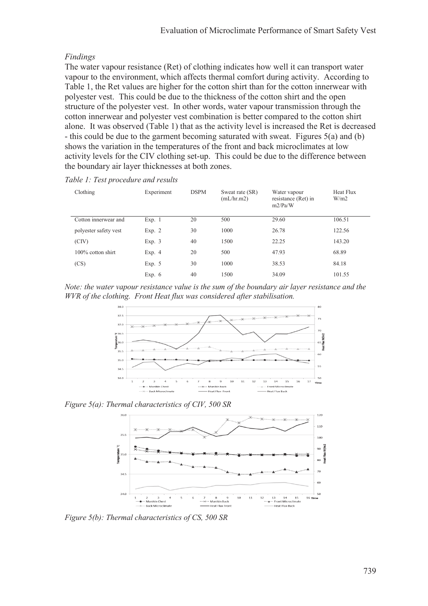## *Findings*

The water vapour resistance (Ret) of clothing indicates how well it can transport water vapour to the environment, which affects thermal comfort during activity. According to Table 1, the Ret values are higher for the cotton shirt than for the cotton innerwear with polyester vest. This could be due to the thickness of the cotton shirt and the open structure of the polyester vest. In other words, water vapour transmission through the cotton innerwear and polyester vest combination is better compared to the cotton shirt alone. It was observed (Table 1) that as the activity level is increased the Ret is decreased - this could be due to the garment becoming saturated with sweat. Figures 5(a) and (b) shows the variation in the temperatures of the front and back microclimates at low activity levels for the CIV clothing set-up. This could be due to the difference between the boundary air layer thicknesses at both zones.

*Table 1: Test procedure and results* 

| Clothing              | Experiment | <b>DSPM</b> | Sweat rate (SR)<br>(mL/hr.m2) | Water vapour<br>resistance (Ret) in<br>m2/Pa/W | Heat Flux<br>W/m2 |
|-----------------------|------------|-------------|-------------------------------|------------------------------------------------|-------------------|
| Cotton innerwear and  | Exp. 1     | 20          | 500                           | 29.60                                          | 106.51            |
| polyester safety vest | Exp. $2$   | 30          | 1000                          | 26.78                                          | 122.56            |
| (CIV)                 | Exp. $3$   | 40          | 1500                          | 22.25                                          | 143.20            |
| $100\%$ cotton shirt  | Exp. $4$   | 20          | 500                           | 47.93                                          | 68.89             |
| (CS)                  | Exp. $5$   | 30          | 1000                          | 38.53                                          | 84.18             |
|                       | Exp. $6$   | 40          | 1500                          | 34.09                                          | 101.55            |

*Note: the water vapour resistance value is the sum of the boundary air layer resistance and the WVR of the clothing. Front Heat flux was considered after stabilisation.* 



*Figure 5(a): Thermal characteristics of CIV, 500 SR* 



*Figure 5(b): Thermal characteristics of CS, 500 SR*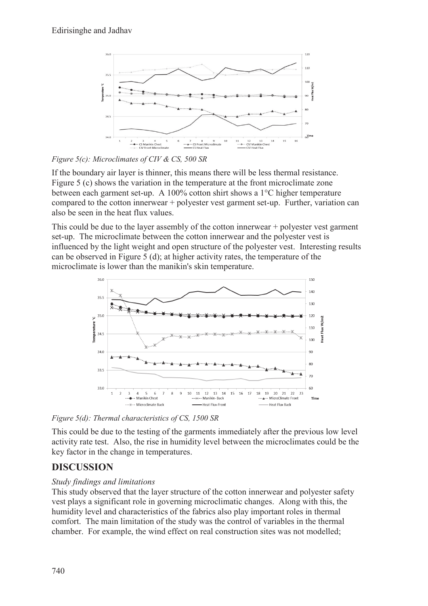

*Figure 5(c): Microclimates of CIV & CS, 500 SR* 

If the boundary air layer is thinner, this means there will be less thermal resistance. Figure 5 (c) shows the variation in the temperature at the front microclimate zone between each garment set-up. A 100% cotton shirt shows a 1°C higher temperature compared to the cotton innerwear + polyester vest garment set-up. Further, variation can also be seen in the heat flux values.

This could be due to the layer assembly of the cotton innerwear + polyester vest garment set-up. The microclimate between the cotton innerwear and the polyester vest is influenced by the light weight and open structure of the polyester vest. Interesting results can be observed in Figure 5 (d); at higher activity rates, the temperature of the microclimate is lower than the manikin's skin temperature.



*Figure 5(d): Thermal characteristics of CS, 1500 SR* 

This could be due to the testing of the garments immediately after the previous low level activity rate test. Also, the rise in humidity level between the microclimates could be the key factor in the change in temperatures.

# **DISCUSSION**

## *Study findings and limitations*

This study observed that the layer structure of the cotton innerwear and polyester safety vest plays a significant role in governing microclimatic changes. Along with this, the humidity level and characteristics of the fabrics also play important roles in thermal comfort. The main limitation of the study was the control of variables in the thermal chamber. For example, the wind effect on real construction sites was not modelled;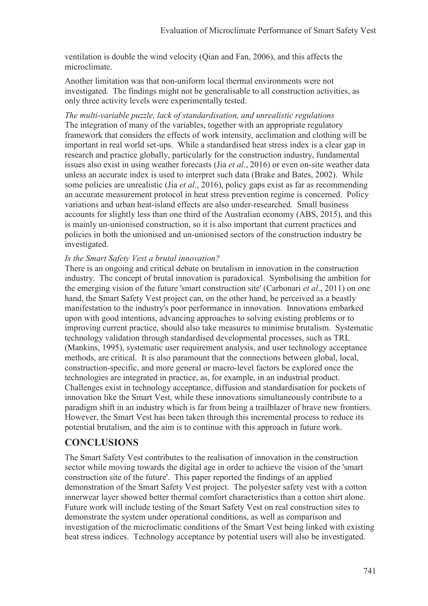ventilation is double the wind velocity (Qian and Fan, 2006), and this affects the microclimate.

Another limitation was that non-uniform local thermal environments were not investigated. The findings might not be generalisable to all construction activities, as only three activity levels were experimentally tested.

*The multi-variable puzzle, lack of standardisation, and unrealistic regulations*  The integration of many of the variables, together with an appropriate regulatory framework that considers the effects of work intensity, acclimation and clothing will be important in real world set-ups. While a standardised heat stress index is a clear gap in research and practice globally, particularly for the construction industry, fundamental issues also exist in using weather forecasts (Jia *et al*., 2016) or even on-site weather data unless an accurate index is used to interpret such data (Brake and Bates, 2002). While some policies are unrealistic (Jia *et al*., 2016), policy gaps exist as far as recommending an accurate measurement protocol in heat stress prevention regime is concerned. Policy variations and urban heat-island effects are also under-researched. Small business accounts for slightly less than one third of the Australian economy (ABS, 2015), and this is mainly un-unionised construction, so it is also important that current practices and policies in both the unionised and un-unionised sectors of the construction industry be investigated.

#### *Is the Smart Safety Vest a brutal innovation?*

There is an ongoing and critical debate on brutalism in innovation in the construction industry. The concept of brutal innovation is paradoxical. Symbolising the ambition for the emerging vision of the future 'smart construction site' (Carbonari *et al*., 2011) on one hand, the Smart Safety Vest project can, on the other hand, be perceived as a beastly manifestation to the industry's poor performance in innovation. Innovations embarked upon with good intentions, advancing approaches to solving existing problems or to improving current practice, should also take measures to minimise brutalism. Systematic technology validation through standardised developmental processes, such as TRL (Mankins, 1995), systematic user requirement analysis, and user technology acceptance methods, are critical. It is also paramount that the connections between global, local, construction-specific, and more general or macro-level factors be explored once the technologies are integrated in practice, as, for example, in an industrial product. Challenges exist in technology acceptance, diffusion and standardisation for pockets of innovation like the Smart Vest, while these innovations simultaneously contribute to a paradigm shift in an industry which is far from being a trailblazer of brave new frontiers. However, the Smart Vest has been taken through this incremental process to reduce its potential brutalism, and the aim is to continue with this approach in future work.

## **CONCLUSIONS**

The Smart Safety Vest contributes to the realisation of innovation in the construction sector while moving towards the digital age in order to achieve the vision of the 'smart construction site of the future'. This paper reported the findings of an applied demonstration of the Smart Safety Vest project. The polyester safety vest with a cotton innerwear layer showed better thermal comfort characteristics than a cotton shirt alone. Future work will include testing of the Smart Safety Vest on real construction sites to demonstrate the system under operational conditions, as well as comparison and investigation of the microclimatic conditions of the Smart Vest being linked with existing heat stress indices. Technology acceptance by potential users will also be investigated.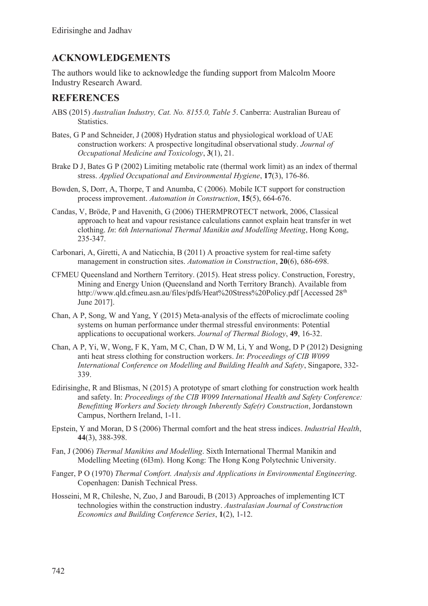## **ACKNOWLEDGEMENTS**

The authors would like to acknowledge the funding support from Malcolm Moore Industry Research Award.

## **REFERENCES**

- ABS (2015) *Australian Industry, Cat. No. 8155.0, Table 5*. Canberra: Australian Bureau of Statistics.
- Bates, G P and Schneider, J (2008) Hydration status and physiological workload of UAE construction workers: A prospective longitudinal observational study. *Journal of Occupational Medicine and Toxicology*, **3**(1), 21.
- Brake D J, Bates G P (2002) Limiting metabolic rate (thermal work limit) as an index of thermal stress. *Applied Occupational and Environmental Hygiene*, **17**(3), 176-86.
- Bowden, S, Dorr, A, Thorpe, T and Anumba, C (2006). Mobile ICT support for construction process improvement. *Automation in Construction*, **15**(5), 664-676.
- Candas, V, Bröde, P and Havenith, G (2006) THERMPROTECT network, 2006, Classical approach to heat and vapour resistance calculations cannot explain heat transfer in wet clothing. *In*: *6th International Thermal Manikin and Modelling Meeting*, Hong Kong, 235-347.
- Carbonari, A, Giretti, A and Naticchia, B (2011) A proactive system for real-time safety management in construction sites. *Automation in Construction*, **20**(6), 686-698.
- CFMEU Queensland and Northern Territory. (2015). Heat stress policy. Construction, Forestry, Mining and Energy Union (Queensland and North Territory Branch). Available from http://www.qld.cfmeu.asn.au/files/pdfs/Heat%20Stress%20Policy.pdf [Accessed 28<sup>th</sup>] June 2017].
- Chan, A P, Song, W and Yang, Y (2015) Meta-analysis of the effects of microclimate cooling systems on human performance under thermal stressful environments: Potential applications to occupational workers. *Journal of Thermal Biology*, **49**, 16-32.
- Chan, A P, Yi, W, Wong, F K, Yam, M C, Chan, D W M, Li, Y and Wong, D P (2012) Designing anti heat stress clothing for construction workers. *In*: *Proceedings of CIB W099 International Conference on Modelling and Building Health and Safety*, Singapore, 332- 339.
- Edirisinghe, R and Blismas, N (2015) A prototype of smart clothing for construction work health and safety. In: *Proceedings of the CIB W099 International Health and Safety Conference: Benefitting Workers and Society through Inherently Safe(r) Construction*, Jordanstown Campus, Northern Ireland, 1-11.
- Epstein, Y and Moran, D S (2006) Thermal comfort and the heat stress indices. *Industrial Health*, **44**(3), 388-398.
- Fan, J (2006) *Thermal Manikins and Modelling*. Sixth International Thermal Manikin and Modelling Meeting (6I3m). Hong Kong: The Hong Kong Polytechnic University.
- Fanger, P O (1970) *Thermal Comfort. Analysis and Applications in Environmental Engineering*. Copenhagen: Danish Technical Press.
- Hosseini, M R, Chileshe, N, Zuo, J and Baroudi, B (2013) Approaches of implementing ICT technologies within the construction industry. *Australasian Journal of Construction Economics and Building Conference Series*, **1**(2), 1-12.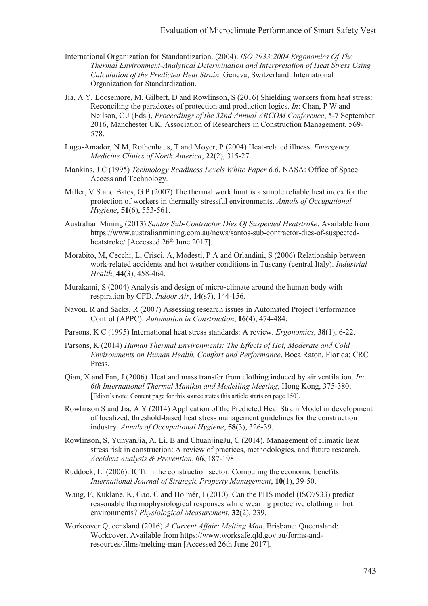- International Organization for Standardization. (2004). *ISO 7933:2004 Ergonomics Of The Thermal Environment-Analytical Determination and Interpretation of Heat Stress Using Calculation of the Predicted Heat Strain*. Geneva, Switzerland: International Organization for Standardization.
- Jia, A Y, Loosemore, M, Gilbert, D and Rowlinson, S (2016) Shielding workers from heat stress: Reconciling the paradoxes of protection and production logics. *In*: Chan, P W and Neilson, C J (Eds.), *Proceedings of the 32nd Annual ARCOM Conference*, 5-7 September 2016, Manchester UK. Association of Researchers in Construction Management, 569- 578.
- Lugo-Amador, N M, Rothenhaus, T and Moyer, P (2004) Heat-related illness. *Emergency Medicine Clinics of North America*, **22**(2), 315-27.
- Mankins, J C (1995) *Technology Readiness Levels White Paper 6.6*. NASA: Office of Space Access and Technology.
- Miller, V S and Bates, G P (2007) The thermal work limit is a simple reliable heat index for the protection of workers in thermally stressful environments. *Annals of Occupational Hygiene*, **51**(6), 553-561.
- Australian Mining (2013) *Santos Sub-Contractor Dies Of Suspected Heatstroke*. Available from https://www.australianmining.com.au/news/santos-sub-contractor-dies-of-suspectedheatstroke/ [Accessed 26<sup>th</sup> June 2017].
- Morabito, M, Cecchi, L, Crisci, A, Modesti, P A and Orlandini, S (2006) Relationship between work-related accidents and hot weather conditions in Tuscany (central Italy). *Industrial Health*, **44**(3), 458-464.
- Murakami, S (2004) Analysis and design of micro-climate around the human body with respiration by CFD. *Indoor Air*, **14**(s7), 144-156.
- Navon, R and Sacks, R (2007) Assessing research issues in Automated Project Performance Control (APPC). *Automation in Construction*, **16**(4), 474-484.
- Parsons, K C (1995) International heat stress standards: A review. *Ergonomics*, **38**(1), 6-22.
- Parsons, K (2014) *Human Thermal Environments: The Effects of Hot, Moderate and Cold Environments on Human Health, Comfort and Performance*. Boca Raton, Florida: CRC Press.
- Qian, X and Fan, J (2006). Heat and mass transfer from clothing induced by air ventilation. *In*: *6th International Thermal Manikin and Modelling Meeting*, Hong Kong, 375-380, [Editor's note: Content page for this source states this article starts on page 150].
- Rowlinson S and Jia, A Y (2014) Application of the Predicted Heat Strain Model in development of localized, threshold-based heat stress management guidelines for the construction industry. *Annals of Occupational Hygiene*, **58**(3), 326-39.
- Rowlinson, S, YunyanJia, A, Li, B and ChuanjingJu, C (2014). Management of climatic heat stress risk in construction: A review of practices, methodologies, and future research. *Accident Analysis & Prevention*, **66**, 187-198.
- Ruddock, L. (2006). ICTt in the construction sector: Computing the economic benefits. *International Journal of Strategic Property Management*, **10**(1), 39-50.
- Wang, F, Kuklane, K, Gao, C and Holmér, I (2010). Can the PHS model (ISO7933) predict reasonable thermophysiological responses while wearing protective clothing in hot environments? *Physiological Measurement*, **32**(2), 239.
- Workcover Queensland (2016) *A Current Affair: Melting Man*. Brisbane: Queensland: Workcover. Available from https://www.worksafe.qld.gov.au/forms-andresources/films/melting-man [Accessed 26th June 2017].